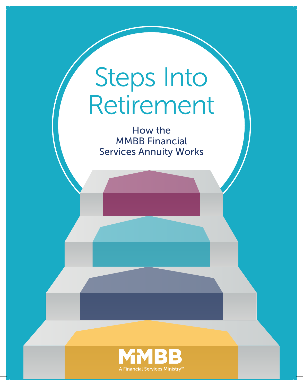# Steps Into Retirement

How the MMBB Financial Services Annuity Works

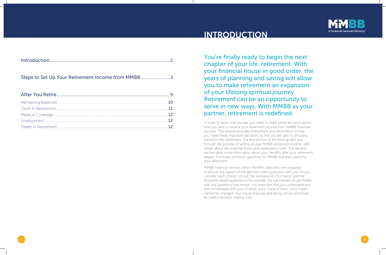You're finally ready to begin the next chapter of your life: retirement. With your financial house in good order, the years of planning and saving will allow you to make retirement an expansion of your lifelong spiritual journey. Retirement can be an opportunity to serve in new ways. With MMBB as your partner, retirement is redefined.

In order to begin that journey, you need to make some decisions about how you wish to receive your retirement income from MMBB Financial Services. This booklet provides instructions and information to help you make these important decisions so that you are able to smoothly transition into retirement. The first section of the book guides you through the process of setting up your MMBB retirement income, with details about the essential forms and explanatory notes. The second section gives more information about your benefits after your retirement begins. It includes common questions for MMBB members planning their retirement.

MMBB Financial Services Senior Benefits Specialists are prepared to discuss any aspect of this decision-making process with you. As you consider each choice, consult the background information and the frequently asked questions in this booklet. Do not hesitate to call MMBB with any questions that remain. It is important that you understand and feel comfortable with your choices, since many of them, once made, cannot be changed. Your future financial well-being will be enhanced by careful decision making now.



 $\overline{1}$  ) and  $\overline{2}$ 

Death in Retirement ..................................................................................................................... 12

## INTRODUCTION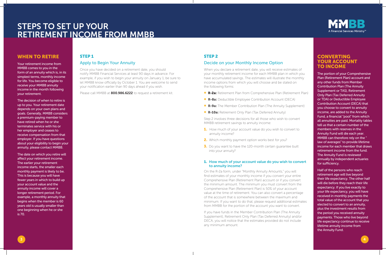## STEP 1

#### Apply to Begin Your Annuity

Once you have decided on a retirement date, you should notify MMBB Financial Services at least 90 days in advance. For example, if you wish to begin your annuity on January 1, be sure to let MMBB know officially by October 1. You are welcome to send your notification earlier than 90 days ahead if you wish.

Please call MMBB at 800.986.6222 to request a retirement kit.

#### **CONVERTING** YOUR ACCOUNT TO INCOME

The portion of your Comprehensive Plan (Retirement Plan) account and any other funds from Member Contribution Plan (The Annuity Supplement or TAS), Retirement Only Plan (Tax Deferred Annuity or TDA) or Deductible Employee Contribution Account (DECA) that you choose to convert to annuity income, are added to the Annuity Fund, a financial "pool" from which all annuities are paid. Mortality tables tell us that a certain number of the members with reserves in the Annuity Fund will die each year. MMBB can therefore rely on the " law of averages" to provide lifetime income for each member that draws retirement income from the fund. The Annuity Fund is reviewed annually by independent actuaries for sufficiency.

- **1.** How much of your account value do you wish to convert to annuity income?
- 2. Which monthly payment option works best for you?
- **3.** Do you want to have the 120-month certain quarantee built into your annuity?

Half of the persons who reach retirement age will live beyond their life expectancy. The other half will die before they reach their life expectancy. If you live exactly to your life expectancy, you will have received in monthly payments the total value of the account that you elected to convert to an annuity, plus the investment results from the period you received annuity payments. Those who live beyond life expectancy continue to receive lifetime annuity income from the Annuity Fund.

#### STEP 2

#### Decide on your Monthly Income Option

When you declare a retirement date, you will receive estimates of your monthly retirement income for each MMBB plan in which you have accumulated savings. The estimates will illustrate the monthly income options from which you will choose and be stated on the following forms:

- **R-2a:** Retirement Plan from Comprehensive Plan (Retirement Plan)
- R-8a: Deductible Employee Contribution Account (DECA)
- **R-9a:** The Member Contribution Plan (The Annuity Supplement)
- **R-10a:** Retirement Only Plan (Tax Deferred Annuity)

Step 2 involves three decisions for all those who wish to convert MMBB retirement savings to annuity income:

#### 1. How much of your account value do you wish to convert to annuity income?

On the R-2a form, under "Monthly Annuity Amounts," you will find estimates of your monthly income if you convert your entire Comprehensive Plan (Retirement Plan) account or if you convert the minimum amount. The minimum you must convert from the Comprehensive Plan (Retirement Plan) is 50% of your account value at the time of retirement. You can also convert a percentage of the account that is somewhere between the maximum and minimum. If you want to do that, please request additional estimates from MMBB for the portion of the account you want to convert.

If you have funds in the Member Contribution Plan (The Annuity Supplement), Retirement Only Plan (Tax Deferred Annuity) and/or DECA, you will notice that the estimates provided do not include any minimum amount.



### WHEN TO RETIRE

Your retirement income from MMBB comes to you in the form of an annuity which is, in its simplest terms, monthly income for life. You become eligible to receive your MMBB annuity income in the month following your retirement.

The decision of when to retire is up to you. Your retirement date depends on your own plans and goals. Generally, MMBB considers a premium-paying member to have retired when he or she terminates service with his or her employer and ceases to receive compensation from that employer. If you have questions about your eligibility to begin your annuity, please contact MMBB.

The date on which you retire will affect your retirement income. The earlier your retirement income starts, the smaller each monthly payment is likely to be. This is because you will have fewer years in which to build up your account value and the annuity income will cover a longer retirement period. For example, a monthly annuity that begins when the member is 60 years old is usually smaller than one beginning when he or she is 70.

# STEPS TO SET UP YOUR RETIREMENT INCOME FROM MMBB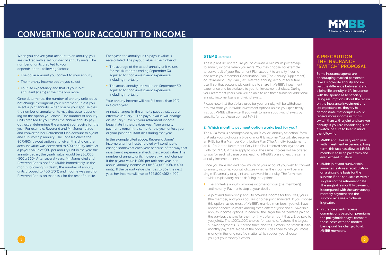When you convert your account to an annuity, you are credited with a set number of annuity units. The number of units credited to you depends on the following factors:

- The dollar amount you convert to your annuity
- The monthly income option you select
- Your life expectancy and that of your joint annuitant (if any) at the time you retire

Once determined, the number of annuity units does not change throughout your retirement unless you select a joint annuity. When you or your spouse dies, the number of annuity units may decrease, depending on the option you chose. The number of annuity units credited to you, times the annual annuity payout value, determines the amount you receive for the year. For example, Reverend and Mr. Jones retired and converted her Retirement Plan account to a joint and survivorship annuity. The Joneses chose the 80%/80% payout option and, given this choice, the account value was converted to 500 annuity units. At a payout value of \$60 per annuity unit in the year the annuity began, the yearly value would be \$30,000 (500 x \$60). After several years, Mr. Jones died and Reverend Jones notified MMBB immediately. In the month following his death, the number of annuity units dropped to 400 (80%) and income was paid to Reverend Jones on that basis for the rest of her life.

- The average of the actual annuity unit values for the six months ending September 30, adjusted for non-investment experience including mortality
- The actual annuity unit value on September 30, adjusted for non-investment experience including mortality

Each year, the annuity unit's payout value is recalculated. The payout value is the higher of:

Your annuity income will not fall more than 10% in a given year.

Annual changes in the annuity payout values are effective January 1. The payout value will change on January 1, even if your retirement income began late in the previous year. Your annuity payments remain the same for the year, unless you or your joint annuitant dies during that year.

In the example cited above, Reverend Jones' income after her husband died will continue to change somewhat each year because of the way that investment experience affects the payout value. The number of annuity units, however, will not change. If the payout value is \$60 per unit one year, her annual annuity income will be \$24,000 (\$60 x 400 units). If the payout value changes to \$62 the next year, her income will rise to \$24,800 (\$62 x 400).

#### **STEP 2** continued

- **1.** The single-life annuity provides income for your (the member's) lifetime only. Payments stop at your death.
- 5 States of the state of the state of the state of the state of the state of the state of the state of the state of the state of the state of the state of the state of the state of the state of the state of the state of th 2. A joint and survivorship annuity provides income for two lives, yours (the member) and your spouse's or other joint annuitant. If you choose this option—as do most of MMBB's married members—you will have another choice to make among three different joint and survivorship annuity income options. In general, the larger the percentage paid to the survivor, the smaller the monthly dollar amount that will be paid to you jointly. The 100%/100% choice, for example, features the largest survivor payments. But of the three choices, it offers the smallest initial monthly payment. None of the options is designed to pay you more money in the long run. No matter which option you choose, you get your money's worth.



These plans do not require you to convert a minimum percentage to annuity income when you retire. You may choose, for example, to convert all of your Retirement Plan account to annuity income and retain your Member Contribution Plan (The Annuity Supplement) or Retirement Only Plan (Tax Deferred Annuity) account for future use. If so, that account will continue to share in MMBB's investment experience and be available to you for investment choices. During your retirement years, you will be able to use those funds for additional annuity income, loans and withdrawals.

Please note that the dollars used for your annuity will be withdrawn pro rata from your MMBB investment options unless you specifically instruct MMBB otherwise. If you wish to learn about withdrawals by specific funds, please contact MMBB.

#### 2. Which monthly payment option works best for you?

The R-2a form is accompanied by an R-2b, or "Annuity Selection" form that asks you to choose a type of monthly income. You will also receive an R-9b for the Member Contribution Plan (The Annuity Supplement), an R-10b for the Retirement Only Plan (Tax Deferred Annuity) and an R-8b for DECA, if these apply to you. The same choices will be offered to you for each of these plans; each of MMBB's plans offers the same annuity income options.

Once you have decided how much of your account you wish to convert to annuity income, you will choose whether the income will be in a single-life annuity or a joint and survivorship annuity. The form itself provides explanatory notes defining the options.

## CONVERTING YOUR ACCOUNT TO INCOME

#### A PRECAUTION: THE INSURANCE "SWITCH" PROPOSAL

Some insurance agents are encouraging married persons to take a single-life annuity and invest the difference between it and a joint-life annuity in life insurance with the spouse as beneficiary. Using assumptions about the return on the insurance investment and life expectancies, they try to demonstrate that couples would receive more income with this switch than with a joint and survivor annuity. If you are considering such a switch, be sure to bear in mind the following:

- MMBB annuities vary each year with investment experience; long term, this fact has allowed MMBB members to keep pace with and even exceed inflation.
- MMBB joint and survivorship annuities feature a recalculation on a single-life basis for the survivor if one spouse dies within six years of the retirement date. The single-life monthly payment is compared with the survivorship monthly payment and the survivor receives whichever is greater.
- Insurance agents receive commissions based on premiums the policyholder pays; compare those costs with the modest basis-point fee charged to all MMBB members.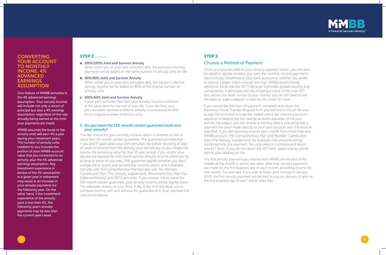

#### a. 100%/100% Joint and Survivor Annuity

When either you or your joint annuitant dies, the survivor's monthly payments will be based on the same number of annuity units for life.

#### b. 80%/80% Joint and Survivor Annuity

When either you or your joint annuitant dies, the survivor's lifetime annuity income will be based on 80% of the original number of annuity units.

#### c. 100%/60% Joint and Survivor Annuity

If your joint annuitant dies first, your annuity income continues at the same level for the rest of your life. If you die first, your joint annuitant receives a lifetime annuity income equal to 60% of the original number of annuity units.

#### 3. Do you want the 120-month certain guarantee built into your annuity?

The last choice for your monthly income option is whether or not to waive the 120-month certain guarantee. The guarantee provides that if you and (if applicable) your joint annuitant die before receiving at least 10 years of income from this annuity, your beneficiary or your estate will receive the remaining value for that 10-year period. If you and/or your spouse live beyond the 120-month period, annuity income continues for as long as either of you lives. This guarantee applies whether you elect a single-life or a joint and survivorship income option, and is available not only with the Comprehensive Plan but also with the Member Contribution Plan (The Annuity Supplement), Retirement Only Plan (Tax Deferred Annuity) and DECA annuities. If you choose not to waive the 120-month certain guarantee, your annuity income will be slightly lower. The estimates shown on your R-2a, R-8a, R-9a, or R-10a allow you to compare income with and without the guarantee and, thus, estimate the cost of this feature.

#### **CONVERTING** YOUR ACCOUNT TO MONTHLY INCOME: 4% ADVANCED **EARNINGS ASSUMPTION**

One feature of MMBB annuities is the 4% advanced earnings assumption. Your annuity income will include not only a return of principal but also a 4% earnings assumption, regardless of the rate actually being earned at the time your payments are made.

MMBB assumes the funds in the annuity pool will earn 4% a year during your retirement years. The number of annuity units credited to you includes the portion of your MMBB account value that you converted to an annuity, plus the 4% advanced earnings assumption. Any investment experience in excess of the 4% assumption in a given year in retirement may result in an increase in your annuity payments for the following year. On the other hand, if the investment experience of the annuity pool is less than 4%, the following year's annuity payments may be less than the current year's level.

#### **STEP 2** continued

## STEP 3

#### Choose a Method of Payment

Once you have decided on your annuity payment option, you will also be asked to decide whether you want the monthly income payments electronically transferred to your bank account or whether you prefer to receive a paper check through the mail. MMBB recommends electronic funds transfer (EFT) because it provides greater security and convenience. It eliminates the risk of losing a check in the mail. EFT also allows you faster access to your money; you do not have to visit the bank to make a deposit or wait for the check to "clear".

If you would like this form of payment, complete and return the Electronic Funds Transfer Request form you will find in this kit. Be sure to sign the form and include the voided check (for checking account deposits) or deposit slip (for savings account deposits). Once your annuity has begun, you will receive a monthly advice indicating that a payment has been made directly to your bank account with the amount specified. If you are receiving income each month from more than one MMBB account—the Comprehensive Plan and Member Contribution Plan (The Annuity Supplement), for example—the amounts will be combined into one payment. You only need to complete and return one EFT form. If you do not return the EFT form, paper checks will be sent to your address on file.

The first annuity payment you receive from MMBB will be sent in the middle of the month in which you retire. After that, annuity payments are made on the first business day of each month, providing income for that month. For example, if you plan to begin your annuity in January 2020, the first annuity payment will be sent to you on January 15 and on the first business day of each month after that.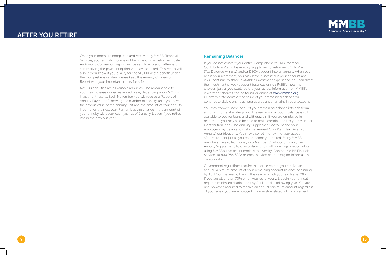

Once your forms are completed and received by MMBB Financial Services, your annuity income will begin as of your retirement date. An Annuity Conversion Report will be sent to you soon afterward, summarizing the payment option you have selected. This report will also let you know if you qualify for the \$8,000 death benefit under the Comprehensive Plan. Please keep the Annuity Conversion Report with your important papers for reference.

MMBB's annuities are all variable annuities. The amount paid to you may increase or decrease each year, depending upon MMBB's investment results. Each November you will receive a "Report of Annuity Payments," showing the number of annuity units you have, the payout value of the annuity unit and the amount of your annuity income for the next year. Remember, the change in the amount of your annuity will occur each year as of January 1, even if you retired late in the previous year.

#### Remaining Balances

If you do not convert your entire Comprehensive Plan, Member Contribution Plan (The Annuity Supplement), Retirement Only Plan (Tax Deferred Annuity) and/or DECA account into an annuity when you begin your retirement, you may leave it invested in your account and it will continue to share in MMBB's investment experience. You can direct the investment of your account balances using MMBB's investment choices, just as you could before you retired. Information on MMBB's investment choices can be found or online at www.mmbb.org. Quarterly statements of the value of your remaining balance will continue available online as long as a balance remains in your account.

You may convert some or all of your remaining balance into additional annuity income at a later point. The remaining account balance is still available to you for loans and withdrawals. If you are employed in retirement, you may also be able to make contributions to your Member Contribution Plan (The Annuity Supplement) account and your employer may be able to make Retirement Only Plan (Tax Deferred Annuity) contributions. You may also roll money into your account after retirement just as you could before you retired. Many MMBB members have rolled money into Member Contribution Plan (The Annuity Supplement) to consolidate funds with one organization while using MMBB's investment choices to diversify. Contact MMBB Financial Services at 800.986.6222 or email service@mmbb.org for information on eligibility.

Government regulations require that, once retired, you receive an annual minimum amount of your remaining account balance beginning by April 1 of the year following the year in which you reach age 70½. If you are older than 70½ when you retire, you will begin your annual required minimum distributions by April 1 of the following year. You are not, however, required to receive an annual minimum amount regardless of your age if you are employed in a ministry-related job in retirement.



## AFTER YOU RETIRE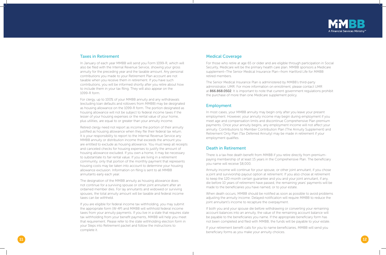

#### Taxes in Retirement

In January of each year MMBB will send you Form 1099-R, which will also be filed with the Internal Revenue Service, showing your gross annuity for the preceding year and the taxable amount. Any personal contributions you made to your Retirement Plan account are not taxable when you receive them in retirement. If you have such contributions, you will be informed shortly after you retire about how to include them in your tax filing. They will also appear on the 1099-R form.

For clergy, up to 100% of your MMBB annuity and any withdrawals (excluding loan defaults and rollovers from MMBB) may be designated as housing allowance on the 1099-R form. The portion designated as housing allowance will not be subject to federal income taxes if the lesser of your housing expenses or the rental value of your home, plus utilities, are equal to or greater than your annuity income.

Retired clergy need not report as income the portion of their annuity justified as housing allowance when they file their federal tax return. It is your responsibility to report to the Internal Revenue Service any MMBB annuity or distribution income that exceeds the amount you are entitled to exclude as housing allowance. You must keep all receipts and canceled checks for housing expenses to justify the amount of housing allowance excluded. If you own a home, it may be necessary to substantiate its fair rental value. If you are living in a retirement community, only that portion of the monthly payment that represents housing costs may be taken into account to determine your housing allowance exclusion. Information on filing is sent to all MMBB annuitants early each year.

The designation of the MMBB annuity as housing allowance does not continue for a surviving spouse or other joint annuitant after an ordained member dies. For lay annuitants and widowed or surviving spouses, the total annuity amount will be taxable and federal income taxes can be withheld.

If you are eligible for federal income tax withholding, you may submit the appropriate form (W-4P) and MMBB will withhold federal income taxes from your annuity payments. If you live in a state that requires state tax withholding from your benefit payments, MMBB will help you meet that requirement. Please refer to the state withholding election form in your Steps into Retirement packet and follow the instructions to complete it.

#### Medical Coverage

For those who retire at age 65 or older and are eligible through participation in Social Security, Medicare will be the primary health care plan. MMBB sponsors a Medicare supplement—The Senior Medical Insurance Plan—from Hartford Life for MMBB retired members.

The Senior Medical Insurance Plan is administered by MMBB's third-party administrator, UMR. For more information on enrollment, please contact UMR at 866.868.0502. It is important to note that current government regulations prohibit the purchase of more than one Medicare supplement policy.

#### Employment

In most cases, your MMBB annuity may begin only after you leave your present employment. However, your annuity income may begin during employment if you meet age and compensation limits and discontinue Comprehensive Plan premium payments. Once your annuity begins, any employment income will not affect your annuity. Contributions to Member Contribution Plan (The Annuity Supplement) and Retirement Only Plan (Tax Deferred Annuity) may be made in retirement if your employment qualifies.

#### Death in Retirement

There is a tax-free death benefit from MMBB if you retire directly from premiumpaying membership of at least 15 years in the Comprehensive Plan. The beneficiary you name will receive \$8,000.

Annuity income will continue for your spouse, or other joint annuitant, if you chose a joint and survivorship payout option at retirement. If you also chose at retirement to keep the 120-month certain guarantee and you and your joint annuitant, if any, die before 10 years of retirement have passed, the remaining years' payments will be made to the beneficiaries you have named, or to your estate.

When death occurs, MMBB should be notified as soon as possible to avoid problems adjusting the annuity income. Delayed notification will require MMBB to reduce the joint annuitant's income to recapture the overpayment.

If both you and your spouse die before withdrawing or converting your remaining account balances into an annuity, the value of the remaining account balance will be payable to the beneficiaries you name. If the appropriate beneficiary form has not been completed and filed with MMBB, the funds will be payable to your estate.

If your retirement benefit calls for you to name beneficiaries, MMBB will send you beneficiary forms as you make your annuity choices.

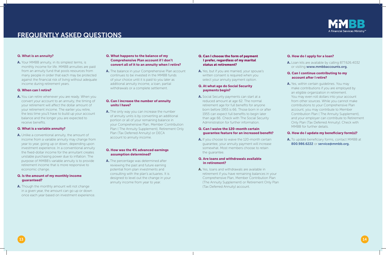#### Q. What is an annuity?

A. Your MMBB annuity, in its simplest terms, is monthly income for life. MMBB annuities are paid from an annuity fund that pools resources from many people in order that each may be protected against the financial risk of living without adequate income during retirement years.

#### Q. When can I retire?

A. You can retire whenever you are ready. When you convert your account to an annuity, the timing of your retirement will affect the dollar amount of your retirement income. The earlier you retire, the less time you'll have to build up your account balance and the longer you are expected to receive benefits.

A. Unlike a conventional annuity, the amount of income from a variable annuity may change from year to year, going up or down, depending upon investment experience. In a conventional annuity the fixed-dollar income for the annuitant creates unstable purchasing power due to inflation. The purpose of MMBB's variable annuity is to provide retirement income that is more responsive to economic change.

A. Though the monthly amount will not change in a given year, the amount can go up or down once each year based on investment experience.

#### Q. What is a variable annuity?

A. The balance in your Comprehensive Plan account continues to be invested in the MMBB funds of your choice until it is paid to you later as additional annuity income, a loan, partial withdrawals or a complete settlement.

A. The only way you can increase the number of annuity units is by converting an additional portion or all of your remaining balance in your Comprehensive Plan, Member Contribution Plan ( The Annuity Supplement), Retirement Only Plan (Tax Deferred Annuity) or DECA account to annuity income.

#### Q. Is the amount of my monthly income guaranteed?

A. The percentage was determined after reviewing the past and future earning potential from plan investments and consulting with the plan's actuaries. It is designed to level out the change in your annuity income from year to year.

A. Yes, but if you are married, your spouse's written consent is required when you select your annuity payment option.

#### Q. What happens to the balance of my Comprehensive Plan account if I don't convert all of it to an annuity when I retire?

A. Social Security payments can start at a reduced amount at age 62. The normal retirement age for full benefits for anyone born before 1955 is 66. Those born in or after 1955 can expect full benefits to begin later than age 66. Check with The Social Security Administration for further information.

#### Q. Can I increase the number of annuity units I have?

A. Loan kits are available by calling 877.626.4032 or visiting www.mmbbaccounts.org.

A. Yes, within certain guidelines. You may make contributions if you are employed by an eligible organization in retirement. You may even roll dollars into your account from other sources. While you cannot make contributions to your Comprehensive Plan account, you may contribute to Member Contribution Plan ( The Annuity Supplement), and your employer can contribute to Retirement Only Plan (Tax Deferred Annuity). Check with MMBB for further details.

#### Q. How was the 4% advanced earnings assumption determined?

#### Q. Can I choose the form of payment I prefer, regardless of my marital status at retirement?

#### Q. At what age do Social Security payments begin?

#### Q. Can I waive the 120-month certain guarantee feature for an increased benefit?

A. If you choose to waive the 120-month certain guarantee, your annuity payment will increase somewhat. Most members choose to retain the quarantee.

#### Q. Are loans and withdrawals available in retirement?

A. Yes, loans and withdrawals are available in retirement if you have remaining balances in your Comprehensive Plan, Member Contribution Plan (The Annuity Supplement) or Retirement Only Plan (Tax Deferred Annuity) account.



#### Q. How do I apply for a loan?

#### Q. Can I continue contributing to my account after I retire?

#### Q. How do I update my beneficiary form(s)?

A. To update beneficiary forms, contact MMBB at 800.986.6222 or service@mmbb.org.

 $13$  ) and the contract of the contract of the contract of the contract of the contract of the contract of the contract of the contract of the contract of the contract of the contract of the contract of the contract of th

## FREQUENTLY ASKED QUESTIONS